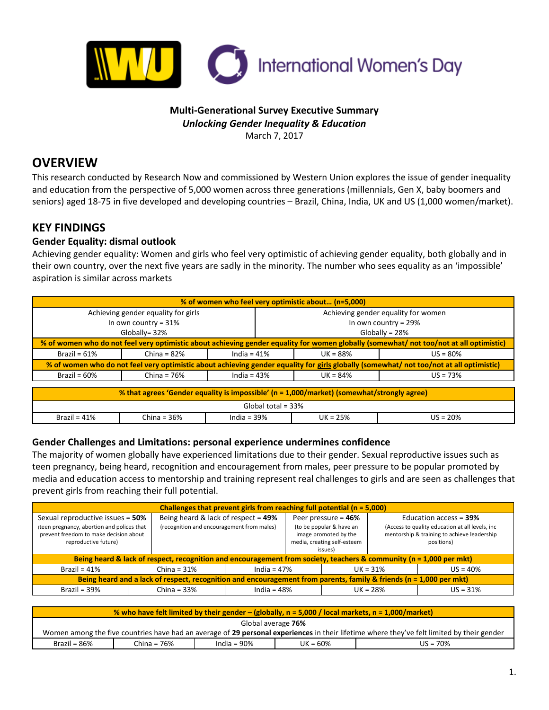

## **Multi-Generational Survey Executive Summary** *Unlocking Gender Inequality & Education* March 7, 2017

# **OVERVIEW**

This research conducted by Research Now and commissioned by Western Union explores the issue of gender inequality and education from the perspective of 5,000 women across three generations (millennials, Gen X, baby boomers and seniors) aged 18-75 in five developed and developing countries – Brazil, China, India, UK and US (1,000 women/market).

## **KEY FINDINGS**

## **Gender Equality: dismal outlook**

Achieving gender equality: Women and girls who feel very optimistic of achieving gender equality, both globally and in their own country, over the next five years are sadly in the minority. The number who sees equality as an 'impossible' aspiration is similar across markets

| % of women who feel very optimistic about (n=5,000)                                                                                     |                                                                                                                                         |                                           |                                     |            |            |  |  |
|-----------------------------------------------------------------------------------------------------------------------------------------|-----------------------------------------------------------------------------------------------------------------------------------------|-------------------------------------------|-------------------------------------|------------|------------|--|--|
| Achieving gender equality for girls                                                                                                     |                                                                                                                                         |                                           | Achieving gender equality for women |            |            |  |  |
| In own country = $31\%$                                                                                                                 |                                                                                                                                         |                                           | In own country = $29%$              |            |            |  |  |
| Globally= 32%                                                                                                                           |                                                                                                                                         |                                           | Globally = $28%$                    |            |            |  |  |
| % of women who do not feel very optimistic about achieving gender equality for women globally (somewhat/ not too/not at all optimistic) |                                                                                                                                         |                                           |                                     |            |            |  |  |
| Brazil = $61\%$                                                                                                                         | China = $82\%$                                                                                                                          | India = $41%$                             |                                     | $UK = 88%$ | $US = 80%$ |  |  |
|                                                                                                                                         | % of women who do not feel very optimistic about achieving gender equality for girls globally (somewhat/ not too/not at all optimistic) |                                           |                                     |            |            |  |  |
| Brazil = $60\%$                                                                                                                         | China = $76%$                                                                                                                           | India = $43%$                             |                                     | $UK = 84%$ | $US = 73%$ |  |  |
|                                                                                                                                         |                                                                                                                                         |                                           |                                     |            |            |  |  |
| % that agrees 'Gender equality is impossible' (n = 1,000/market) (somewhat/strongly agree)                                              |                                                                                                                                         |                                           |                                     |            |            |  |  |
| Global total = $33%$                                                                                                                    |                                                                                                                                         |                                           |                                     |            |            |  |  |
| Brazil = $41\%$                                                                                                                         | China = $36%$                                                                                                                           | $US = 20%$<br>India = $39%$<br>$UK = 25%$ |                                     |            |            |  |  |

## **Gender Challenges and Limitations: personal experience undermines confidence**

The majority of women globally have experienced limitations due to their gender. Sexual reproductive issues such as teen pregnancy, being heard, recognition and encouragement from males, peer pressure to be popular promoted by media and education access to mentorship and training represent real challenges to girls and are seen as challenges that prevent girls from reaching their full potential.

| Challenges that prevent girls from reaching full potential $(n = 5,000)$                                                                         |                |                                                                                      |  |                                                                                                                       |            |                                                                                                                                            |  |
|--------------------------------------------------------------------------------------------------------------------------------------------------|----------------|--------------------------------------------------------------------------------------|--|-----------------------------------------------------------------------------------------------------------------------|------------|--------------------------------------------------------------------------------------------------------------------------------------------|--|
| Sexual reproductive issues = 50%<br>(teen pregnancy, abortion and polices that<br>prevent freedom to make decision about<br>reproductive future) |                | Being heard & lack of respect = $49\%$<br>(recognition and encouragement from males) |  | Peer pressure $= 46\%$<br>(to be popular & have an<br>image promoted by the<br>media, creating self-esteem<br>issues) |            | Education access = $39\%$<br>(Access to quality education at all levels, inc.<br>mentorship & training to achieve leadership<br>positions) |  |
| Being heard & lack of respect, recognition and encouragement from society, teachers & community (n = 1,000 per mkt)                              |                |                                                                                      |  |                                                                                                                       |            |                                                                                                                                            |  |
| Brazil = $41\%$                                                                                                                                  | China = $31\%$ | India = $47%$                                                                        |  |                                                                                                                       | $UK = 31%$ | $US = 40%$                                                                                                                                 |  |
| Being heard and a lack of respect, recognition and encouragement from parents, family & friends ( $n = 1,000$ per mkt)                           |                |                                                                                      |  |                                                                                                                       |            |                                                                                                                                            |  |
| Brazil = $39\%$                                                                                                                                  | China = $33%$  | India = $48%$                                                                        |  |                                                                                                                       | UK = 28%   | $US = 31%$                                                                                                                                 |  |

| $\%$ who have felt limited by their gender – (globally, n = 5,000 / local markets, n = 1,000/market)                                       |               |                |            |            |  |  |
|--------------------------------------------------------------------------------------------------------------------------------------------|---------------|----------------|------------|------------|--|--|
| Global average 76%                                                                                                                         |               |                |            |            |  |  |
| Women among the five countries have had an average of 29 personal experiences in their lifetime where they've felt limited by their gender |               |                |            |            |  |  |
| Brazil = $86\%$                                                                                                                            | China = $76%$ | India = $90\%$ | $UK = 60%$ | $US = 70%$ |  |  |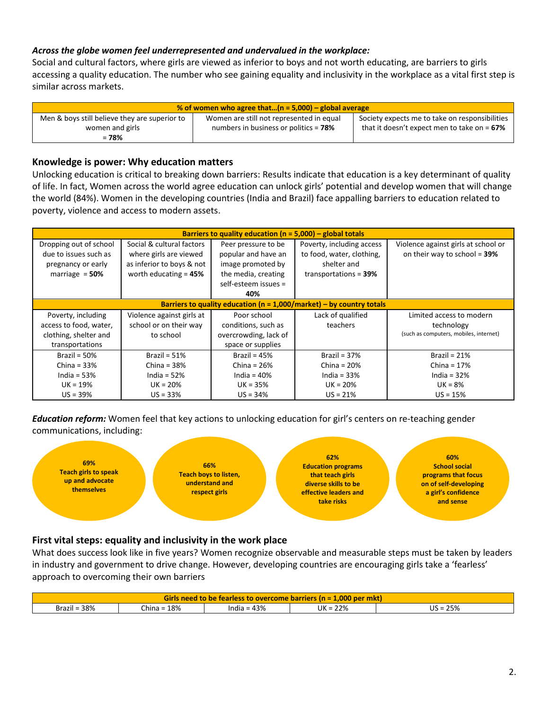### *Across the globe women feel underrepresented and undervalued in the workplace:*

Social and cultural factors, where girls are viewed as inferior to boys and not worth educating, are barriers to girls accessing a quality education. The number who see gaining equality and inclusivity in the workplace as a vital first step is similar across markets.

| % of women who agree that $(n = 5,000)$ – global average |                                          |                                                |  |  |  |
|----------------------------------------------------------|------------------------------------------|------------------------------------------------|--|--|--|
| Men & boys still believe they are superior to            | Women are still not represented in equal | Society expects me to take on responsibilities |  |  |  |
| women and girls                                          | numbers in business or politics $= 78\%$ | that it doesn't expect men to take on $= 67\%$ |  |  |  |
| $= 78%$                                                  |                                          |                                                |  |  |  |

#### **Knowledge is power: Why education matters**

Unlocking education is critical to breaking down barriers: Results indicate that education is a key determinant of quality of life. In fact, Women across the world agree education can unlock girls' potential and develop women that will change the world (84%). Women in the developing countries (India and Brazil) face appalling barriers to education related to poverty, violence and access to modern assets.

| Barriers to quality education ( $n = 5,000$ ) – global totals            |                           |                       |                           |                                        |  |  |  |
|--------------------------------------------------------------------------|---------------------------|-----------------------|---------------------------|----------------------------------------|--|--|--|
| Dropping out of school                                                   | Social & cultural factors | Peer pressure to be   | Poverty, including access | Violence against girls at school or    |  |  |  |
| due to issues such as                                                    | where girls are viewed    | popular and have an   | to food, water, clothing, | on their way to school = $39\%$        |  |  |  |
| pregnancy or early                                                       | as inferior to boys & not | image promoted by     | shelter and               |                                        |  |  |  |
| marriage $= 50%$                                                         | worth educating $= 45%$   | the media, creating   | transportations = $39%$   |                                        |  |  |  |
|                                                                          |                           | self-esteem issues =  |                           |                                        |  |  |  |
|                                                                          |                           | 40%                   |                           |                                        |  |  |  |
| Barriers to quality education ( $n = 1,000/m$ arket) – by country totals |                           |                       |                           |                                        |  |  |  |
| Poverty, including                                                       | Violence against girls at | Poor school           | Lack of qualified         | Limited access to modern               |  |  |  |
| access to food, water,                                                   | school or on their way    | conditions, such as   | teachers                  | technology                             |  |  |  |
| clothing, shelter and                                                    | to school                 | overcrowding, lack of |                           | (such as computers, mobiles, internet) |  |  |  |
| transportations                                                          |                           | space or supplies     |                           |                                        |  |  |  |
| Brazil = $50\%$                                                          | Brazil = $51\%$           | Brazil = $45%$        | Brazil = $37%$            | Brazil = $21%$                         |  |  |  |
| China = $33%$                                                            | China = $38%$             | China = $26%$         | China = $20%$             | China = $17%$                          |  |  |  |
| India = $53%$                                                            | India = $52%$             | India = $40\%$        | India = $33%$             | India = $32\%$                         |  |  |  |
| $UK = 19%$                                                               | $UK = 20%$                | $UK = 35%$            | $UK = 20%$                | $UK = 8%$                              |  |  |  |
| $US = 39\%$                                                              | $US = 33%$                | $US = 34%$            | $US = 21%$                | $US = 15%$                             |  |  |  |

*Education reform:* Women feel that key actions to unlocking education for girl's centers on re-teaching gender communications, including:



## **First vital steps: equality and inclusivity in the work place**

What does success look like in five years? Women recognize observable and measurable steps must be taken by leaders in industry and government to drive change. However, developing countries are encouraging girls take a 'fearless' approach to overcoming their own barriers

| <b>Girls need to be fearless to overcome barriers (n = 1.000 per mkt)</b>      |  |  |  |  |  |  |  |
|--------------------------------------------------------------------------------|--|--|--|--|--|--|--|
| Brazil = $38%$<br>25%<br>18%<br>$UK = 22%$<br>India = $43%$<br>US =<br>- China |  |  |  |  |  |  |  |